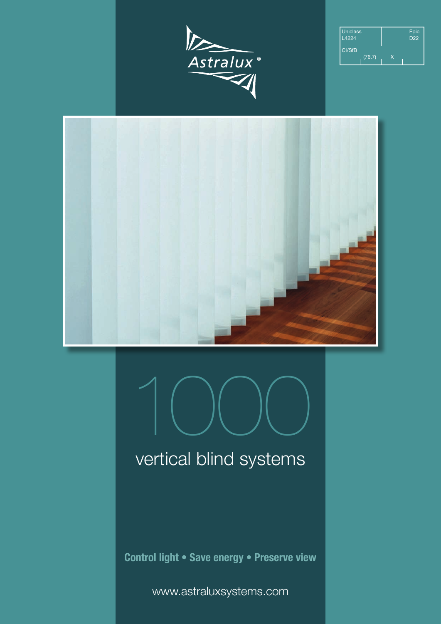

| <b>Uniclass</b><br>L4224 |    | Epic<br>D <sub>22</sub> |
|--------------------------|----|-------------------------|
| CI/SfB<br>(76.7)         | x. |                         |





## vertical blind systems

**Control light • Save energy • Preserve view**

www.astraluxsystems.com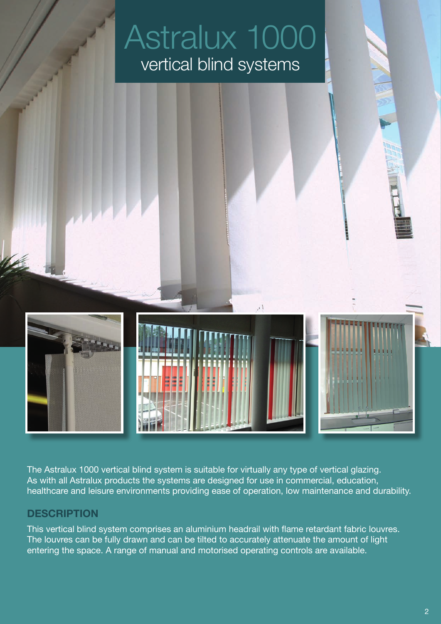

The Astralux 1000 vertical blind system is suitable for virtually any type of vertical glazing. As with all Astralux products the systems are designed for use in commercial, education, healthcare and leisure environments providing ease of operation, low maintenance and durability.

#### **DESCRIPTION**

This vertical blind system comprises an aluminium headrail with flame retardant fabric louvres. The louvres can be fully drawn and can be tilted to accurately attenuate the amount of light entering the space. A range of manual and motorised operating controls are available.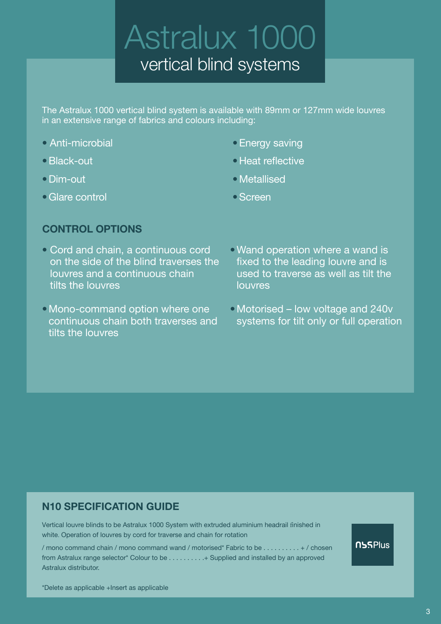The Astralux 1000 vertical blind system is available with 89mm or 127mm wide louvres in an extensive range of fabrics and colours including:

- Anti-microbial
- •Black-out
- Dim-out
- •Glare control
- •Energy saving
- •Heat reflective
- •Metallised
- •Screen

### **CONTROL OPTIONS**

- Cord and chain, a continuous cord on the side of the blind traverses the louvres and a continuous chain tilts the louvres
- •Mono-command option where one continuous chain both traverses and tilts the louvres
- •Wand operation where a wand is fixed to the leading louvre and is used to traverse as well as tilt the louvres
- •Motorised low voltage and 240v systems for tilt only or full operation

### **N10 SPECIFICATION GUIDE**

Vertical louvre blinds to be Astralux 1000 System with extruded aluminium headrail finished in white. Operation of louvres by cord for traverse and chain for rotation

/ mono command chain / mono command wand / motorised\* Fabric to be . . . . . . . . . . + / chosen from Astralux range selector\* Colour to be . . . . . . . . . .+ Supplied and installed by an approved Astralux distributor.

**NSSPlus** 

\*Delete as applicable +Insert as applicable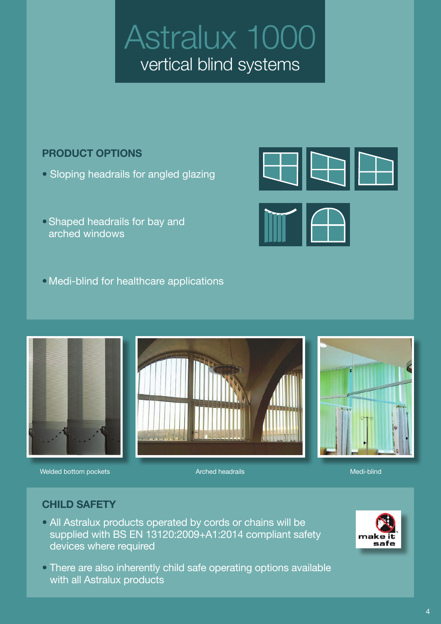### **PRODUCT OPTIONS**

- Sloping headrails for angled glazing
- •Shaped headrails for bay and arched windows
- •Medi-blind for healthcare applications



Welded bottom pockets **Arched headrails** Medi-blind Medi-blind

400

### **CHILD SAFETY**

- All Astralux products operated by cords or chains will be supplied with BS EN 13120:2009+A1:2014 compliant safety devices where required
- There are also inherently child safe operating options available with all Astralux products